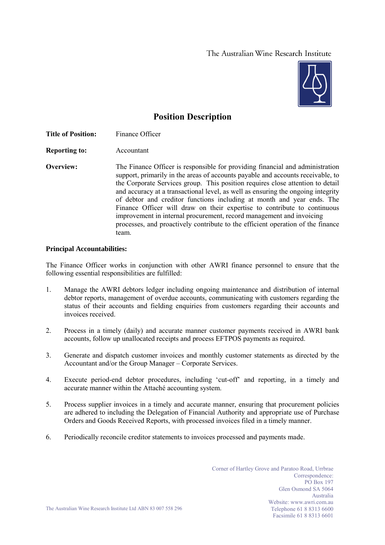## The Australian Wine Research Institute



# **Position Description**

**Title of Position:** Finance Officer

**Reporting to:** Accountant

**Overview:** The Finance Officer is responsible for providing financial and administration support, primarily in the areas of accounts payable and accounts receivable, to the Corporate Services group. This position requires close attention to detail and accuracy at a transactional level, as well as ensuring the ongoing integrity of debtor and creditor functions including at month and year ends. The Finance Officer will draw on their expertise to contribute to continuous improvement in internal procurement, record management and invoicing processes, and proactively contribute to the efficient operation of the finance team.

#### **Principal Accountabilities:**

The Finance Officer works in conjunction with other AWRI finance personnel to ensure that the following essential responsibilities are fulfilled:

- 1. Manage the AWRI debtors ledger including ongoing maintenance and distribution of internal debtor reports, management of overdue accounts, communicating with customers regarding the status of their accounts and fielding enquiries from customers regarding their accounts and invoices received.
- 2. Process in a timely (daily) and accurate manner customer payments received in AWRI bank accounts, follow up unallocated receipts and process EFTPOS payments as required.
- 3. Generate and dispatch customer invoices and monthly customer statements as directed by the Accountant and/or the Group Manager – Corporate Services.
- 4. Execute period-end debtor procedures, including 'cut-off' and reporting, in a timely and accurate manner within the Attaché accounting system.
- 5. Process supplier invoices in a timely and accurate manner, ensuring that procurement policies are adhered to including the Delegation of Financial Authority and appropriate use of Purchase Orders and Goods Received Reports, with processed invoices filed in a timely manner.
- 6. Periodically reconcile creditor statements to invoices processed and payments made.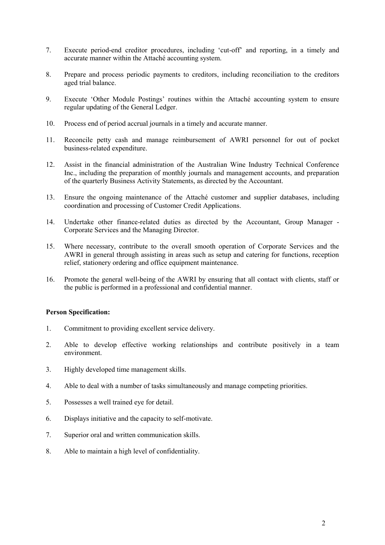- 7. Execute period-end creditor procedures, including 'cut-off' and reporting, in a timely and accurate manner within the Attaché accounting system.
- 8. Prepare and process periodic payments to creditors, including reconciliation to the creditors aged trial balance.
- 9. Execute 'Other Module Postings' routines within the Attaché accounting system to ensure regular updating of the General Ledger.
- 10. Process end of period accrual journals in a timely and accurate manner.
- 11. Reconcile petty cash and manage reimbursement of AWRI personnel for out of pocket business-related expenditure.
- 12. Assist in the financial administration of the Australian Wine Industry Technical Conference Inc., including the preparation of monthly journals and management accounts, and preparation of the quarterly Business Activity Statements, as directed by the Accountant.
- 13. Ensure the ongoing maintenance of the Attaché customer and supplier databases, including coordination and processing of Customer Credit Applications.
- 14. Undertake other finance-related duties as directed by the Accountant, Group Manager Corporate Services and the Managing Director.
- 15. Where necessary, contribute to the overall smooth operation of Corporate Services and the AWRI in general through assisting in areas such as setup and catering for functions, reception relief, stationery ordering and office equipment maintenance.
- 16. Promote the general well-being of the AWRI by ensuring that all contact with clients, staff or the public is performed in a professional and confidential manner.

#### **Person Specification:**

- 1. Commitment to providing excellent service delivery.
- 2. Able to develop effective working relationships and contribute positively in a team environment.
- 3. Highly developed time management skills.
- 4. Able to deal with a number of tasks simultaneously and manage competing priorities.
- 5. Possesses a well trained eye for detail.
- 6. Displays initiative and the capacity to self-motivate.
- 7. Superior oral and written communication skills.
- 8. Able to maintain a high level of confidentiality.